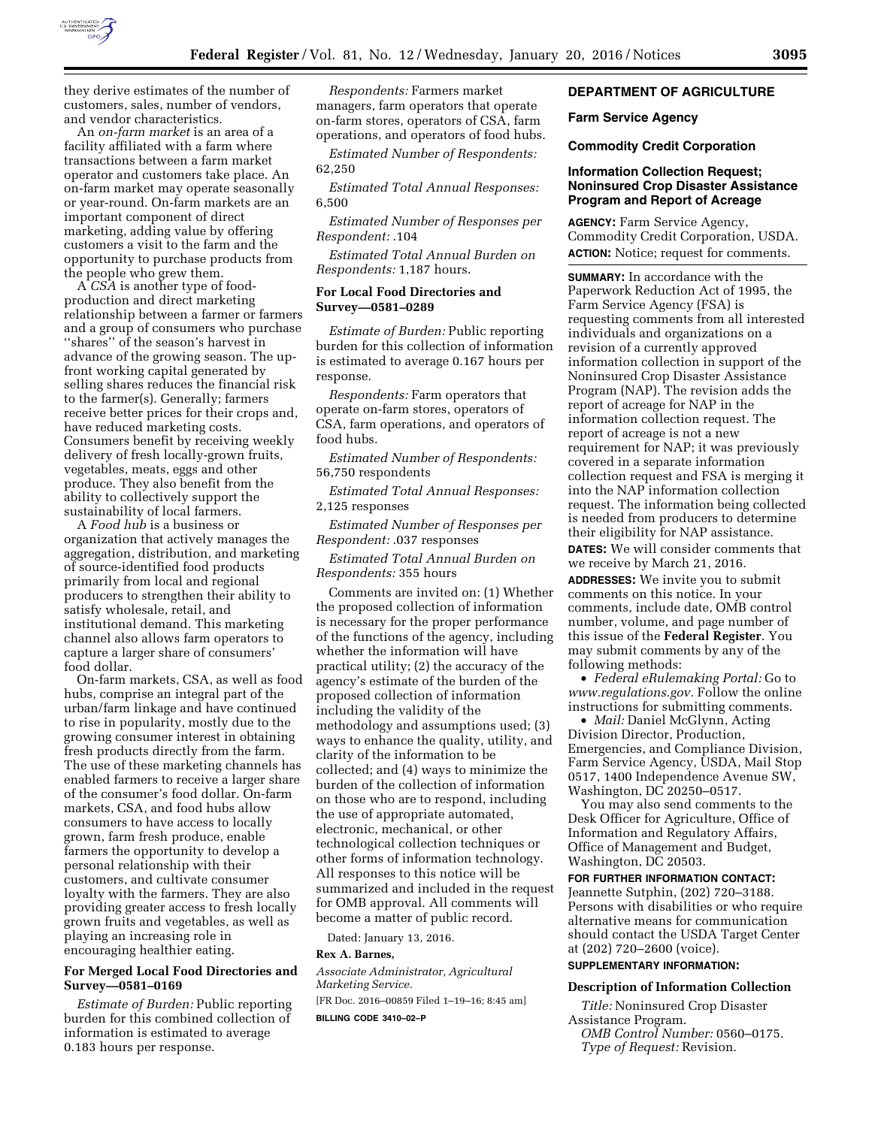

they derive estimates of the number of customers, sales, number of vendors, and vendor characteristics.

An *on-farm market* is an area of a facility affiliated with a farm where transactions between a farm market operator and customers take place. An on-farm market may operate seasonally or year-round. On-farm markets are an important component of direct marketing, adding value by offering customers a visit to the farm and the opportunity to purchase products from the people who grew them.

A *CSA* is another type of foodproduction and direct marketing relationship between a farmer or farmers and a group of consumers who purchase ''shares'' of the season's harvest in advance of the growing season. The upfront working capital generated by selling shares reduces the financial risk to the farmer(s). Generally; farmers receive better prices for their crops and, have reduced marketing costs. Consumers benefit by receiving weekly delivery of fresh locally-grown fruits, vegetables, meats, eggs and other produce. They also benefit from the ability to collectively support the sustainability of local farmers.

A *Food hub* is a business or organization that actively manages the aggregation, distribution, and marketing of source-identified food products primarily from local and regional producers to strengthen their ability to satisfy wholesale, retail, and institutional demand. This marketing channel also allows farm operators to capture a larger share of consumers' food dollar.

On-farm markets, CSA, as well as food hubs, comprise an integral part of the urban/farm linkage and have continued to rise in popularity, mostly due to the growing consumer interest in obtaining fresh products directly from the farm. The use of these marketing channels has enabled farmers to receive a larger share of the consumer's food dollar. On-farm markets, CSA, and food hubs allow consumers to have access to locally grown, farm fresh produce, enable farmers the opportunity to develop a personal relationship with their customers, and cultivate consumer loyalty with the farmers. They are also providing greater access to fresh locally grown fruits and vegetables, as well as playing an increasing role in encouraging healthier eating.

## **For Merged Local Food Directories and Survey—0581–0169**

*Estimate of Burden:* Public reporting burden for this combined collection of information is estimated to average 0.183 hours per response.

*Respondents:* Farmers market managers, farm operators that operate on-farm stores, operators of CSA, farm operations, and operators of food hubs.

*Estimated Number of Respondents:*  62,250

*Estimated Total Annual Responses:*  6,500

*Estimated Number of Responses per Respondent:* .104

*Estimated Total Annual Burden on Respondents:* 1,187 hours.

## **For Local Food Directories and Survey—0581–0289**

*Estimate of Burden:* Public reporting burden for this collection of information is estimated to average 0.167 hours per response.

*Respondents:* Farm operators that operate on-farm stores, operators of CSA, farm operations, and operators of food hubs.

*Estimated Number of Respondents:*  56,750 respondents

*Estimated Total Annual Responses:*  2,125 responses

*Estimated Number of Responses per Respondent:* .037 responses

*Estimated Total Annual Burden on Respondents:* 355 hours

Comments are invited on: (1) Whether the proposed collection of information is necessary for the proper performance of the functions of the agency, including whether the information will have practical utility; (2) the accuracy of the agency's estimate of the burden of the proposed collection of information including the validity of the methodology and assumptions used; (3) ways to enhance the quality, utility, and clarity of the information to be collected; and (4) ways to minimize the burden of the collection of information on those who are to respond, including the use of appropriate automated, electronic, mechanical, or other technological collection techniques or other forms of information technology. All responses to this notice will be summarized and included in the request for OMB approval. All comments will become a matter of public record.

Dated: January 13, 2016.

# **Rex A. Barnes,**

*Associate Administrator, Agricultural Marketing Service.* 

[FR Doc. 2016–00859 Filed 1–19–16; 8:45 am]

**BILLING CODE 3410–02–P** 

## **DEPARTMENT OF AGRICULTURE**

#### **Farm Service Agency**

#### **Commodity Credit Corporation**

## **Information Collection Request; Noninsured Crop Disaster Assistance Program and Report of Acreage**

**AGENCY:** Farm Service Agency, Commodity Credit Corporation, USDA. **ACTION:** Notice; request for comments.

**SUMMARY:** In accordance with the Paperwork Reduction Act of 1995, the Farm Service Agency (FSA) is requesting comments from all interested individuals and organizations on a revision of a currently approved information collection in support of the Noninsured Crop Disaster Assistance Program (NAP). The revision adds the report of acreage for NAP in the information collection request. The report of acreage is not a new requirement for NAP; it was previously covered in a separate information collection request and FSA is merging it into the NAP information collection request. The information being collected is needed from producers to determine their eligibility for NAP assistance.

**DATES:** We will consider comments that we receive by March 21, 2016.

**ADDRESSES:** We invite you to submit comments on this notice. In your comments, include date, OMB control number, volume, and page number of this issue of the **Federal Register**. You may submit comments by any of the following methods:

• *Federal eRulemaking Portal:* Go to *[www.regulations.gov.](http://www.regulations.gov)* Follow the online instructions for submitting comments.

• *Mail:* Daniel McGlynn, Acting Division Director, Production, Emergencies, and Compliance Division, Farm Service Agency, USDA, Mail Stop 0517, 1400 Independence Avenue SW, Washington, DC 20250–0517.

You may also send comments to the Desk Officer for Agriculture, Office of Information and Regulatory Affairs, Office of Management and Budget, Washington, DC 20503.

#### **FOR FURTHER INFORMATION CONTACT:**

Jeannette Sutphin, (202) 720–3188. Persons with disabilities or who require alternative means for communication should contact the USDA Target Center at (202) 720–2600 (voice).

## **SUPPLEMENTARY INFORMATION:**

#### **Description of Information Collection**

*Title:* Noninsured Crop Disaster Assistance Program. *OMB Control Number:* 0560–0175. *Type of Request:* Revision.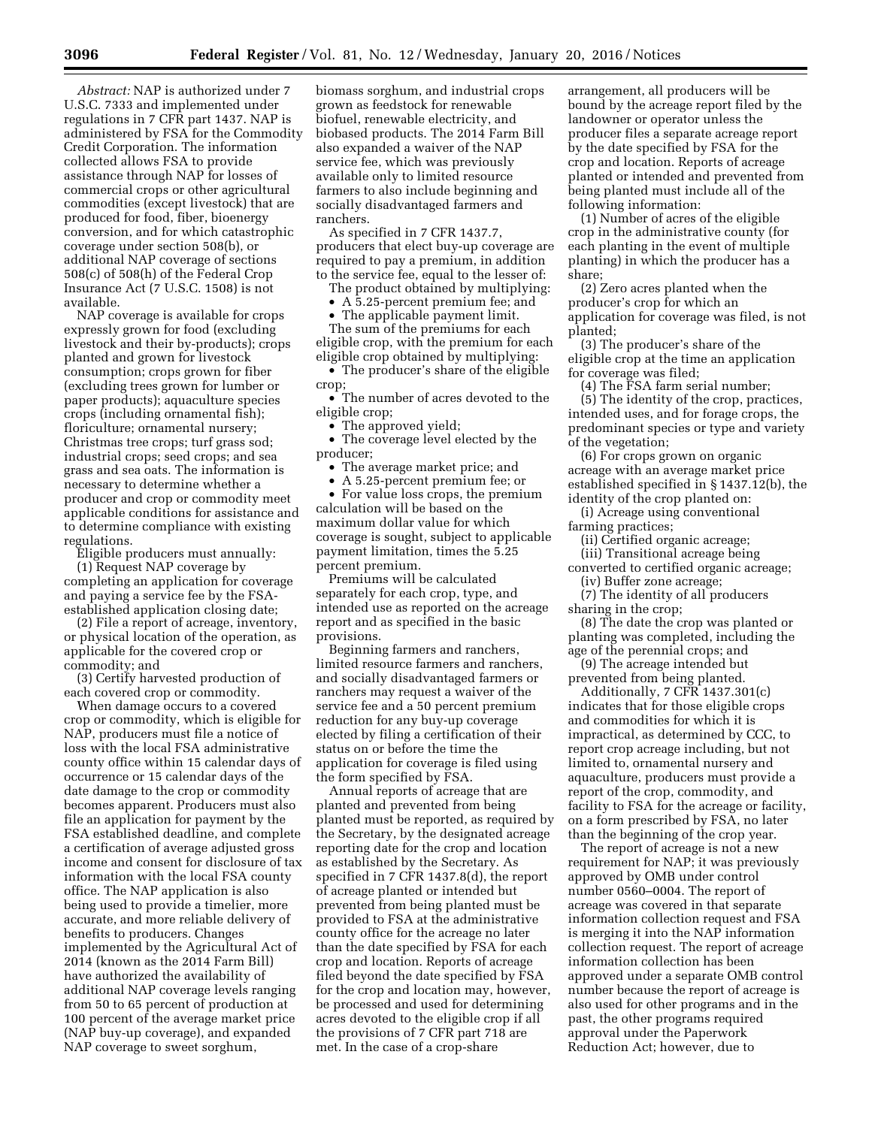*Abstract:* NAP is authorized under 7 U.S.C. 7333 and implemented under regulations in 7 CFR part 1437. NAP is administered by FSA for the Commodity Credit Corporation. The information collected allows FSA to provide assistance through NAP for losses of commercial crops or other agricultural commodities (except livestock) that are produced for food, fiber, bioenergy conversion, and for which catastrophic coverage under section 508(b), or additional NAP coverage of sections 508(c) of 508(h) of the Federal Crop Insurance Act (7 U.S.C. 1508) is not available.

NAP coverage is available for crops expressly grown for food (excluding livestock and their by-products); crops planted and grown for livestock consumption; crops grown for fiber (excluding trees grown for lumber or paper products); aquaculture species crops (including ornamental fish); floriculture; ornamental nursery; Christmas tree crops; turf grass sod; industrial crops; seed crops; and sea grass and sea oats. The information is necessary to determine whether a producer and crop or commodity meet applicable conditions for assistance and to determine compliance with existing regulations.

Eligible producers must annually:

(1) Request NAP coverage by completing an application for coverage and paying a service fee by the FSAestablished application closing date;

(2) File a report of acreage, inventory, or physical location of the operation, as applicable for the covered crop or commodity; and

(3) Certify harvested production of each covered crop or commodity.

When damage occurs to a covered crop or commodity, which is eligible for NAP, producers must file a notice of loss with the local FSA administrative county office within 15 calendar days of occurrence or 15 calendar days of the date damage to the crop or commodity becomes apparent. Producers must also file an application for payment by the FSA established deadline, and complete a certification of average adjusted gross income and consent for disclosure of tax information with the local FSA county office. The NAP application is also being used to provide a timelier, more accurate, and more reliable delivery of benefits to producers. Changes implemented by the Agricultural Act of 2014 (known as the 2014 Farm Bill) have authorized the availability of additional NAP coverage levels ranging from 50 to 65 percent of production at 100 percent of the average market price (NAP buy-up coverage), and expanded NAP coverage to sweet sorghum,

biomass sorghum, and industrial crops grown as feedstock for renewable biofuel, renewable electricity, and biobased products. The 2014 Farm Bill also expanded a waiver of the NAP service fee, which was previously available only to limited resource farmers to also include beginning and socially disadvantaged farmers and ranchers.

As specified in 7 CFR 1437.7, producers that elect buy-up coverage are required to pay a premium, in addition to the service fee, equal to the lesser of:

The product obtained by multiplying:

• A 5.25-percent premium fee; and

The applicable payment limit. The sum of the premiums for each eligible crop, with the premium for each eligible crop obtained by multiplying:

• The producer's share of the eligible crop;

• The number of acres devoted to the eligible crop;

• The approved yield;

• The coverage level elected by the producer;

• The average market price; and

• A 5.25-percent premium fee; or

• For value loss crops, the premium calculation will be based on the maximum dollar value for which coverage is sought, subject to applicable payment limitation, times the 5.25 percent premium.

Premiums will be calculated separately for each crop, type, and intended use as reported on the acreage report and as specified in the basic provisions.

Beginning farmers and ranchers, limited resource farmers and ranchers, and socially disadvantaged farmers or ranchers may request a waiver of the service fee and a 50 percent premium reduction for any buy-up coverage elected by filing a certification of their status on or before the time the application for coverage is filed using the form specified by FSA.

Annual reports of acreage that are planted and prevented from being planted must be reported, as required by the Secretary, by the designated acreage reporting date for the crop and location as established by the Secretary. As specified in 7 CFR 1437.8(d), the report of acreage planted or intended but prevented from being planted must be provided to FSA at the administrative county office for the acreage no later than the date specified by FSA for each crop and location. Reports of acreage filed beyond the date specified by FSA for the crop and location may, however, be processed and used for determining acres devoted to the eligible crop if all the provisions of 7 CFR part 718 are met. In the case of a crop-share

arrangement, all producers will be bound by the acreage report filed by the landowner or operator unless the producer files a separate acreage report by the date specified by FSA for the crop and location. Reports of acreage planted or intended and prevented from being planted must include all of the following information:

(1) Number of acres of the eligible crop in the administrative county (for each planting in the event of multiple planting) in which the producer has a share;

(2) Zero acres planted when the producer's crop for which an application for coverage was filed, is not planted;

(3) The producer's share of the eligible crop at the time an application for coverage was filed;

(4) The FSA farm serial number; (5) The identity of the crop, practices, intended uses, and for forage crops, the predominant species or type and variety of the vegetation;

(6) For crops grown on organic acreage with an average market price established specified in § 1437.12(b), the identity of the crop planted on:

(i) Acreage using conventional farming practices;

(ii) Certified organic acreage;

(iii) Transitional acreage being

converted to certified organic acreage; (iv) Buffer zone acreage;

(7) The identity of all producers sharing in the crop;

(8) The date the crop was planted or planting was completed, including the age of the perennial crops; and

(9) The acreage intended but prevented from being planted.

Additionally, 7 CFR 1437.301(c) indicates that for those eligible crops and commodities for which it is impractical, as determined by CCC, to report crop acreage including, but not limited to, ornamental nursery and aquaculture, producers must provide a report of the crop, commodity, and facility to FSA for the acreage or facility, on a form prescribed by FSA, no later than the beginning of the crop year.

The report of acreage is not a new requirement for NAP; it was previously approved by OMB under control number 0560–0004. The report of acreage was covered in that separate information collection request and FSA is merging it into the NAP information collection request. The report of acreage information collection has been approved under a separate OMB control number because the report of acreage is also used for other programs and in the past, the other programs required approval under the Paperwork Reduction Act; however, due to